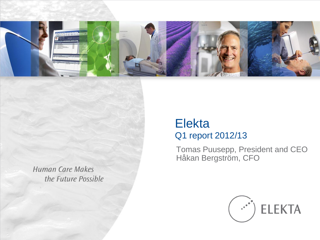

**Human Care Makes** the Future Possible

### Elekta Q1 report 2012/13

Tomas Puusepp, President and CEO Håkan Bergström, CFO

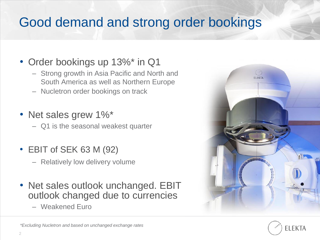## Good demand and strong order bookings

## • Order bookings up 13%\* in Q1

- Strong growth in Asia Pacific and North and South America as well as Northern Europe
- Nucletron order bookings on track
- Net sales grew 1%\*

– Q1 is the seasonal weakest quarter

- EBIT of SEK 63 M (92)
	- Relatively low delivery volume
- Net sales outlook unchanged. EBIT outlook changed due to currencies
	- Weakened Euro



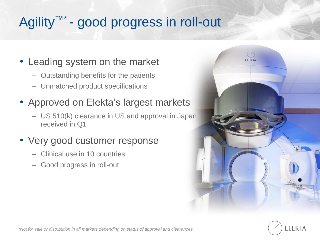# Agility™\* - good progress in roll-out

#### • Leading system on the market

- Outstanding benefits for the patients
- Unmatched product specifications

#### • Approved on Elekta's largest markets

– US 510(k) clearance in US and approval in Japan received in Q1

#### • Very good customer response

- Clinical use in 10 countries
- Good progress in roll-out



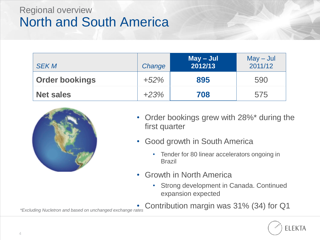## Regional overview North and South America

| <b>SEK M</b>          | Change | $May - Jul$<br>2012/13 | $May - Jul$<br>2011/12 |
|-----------------------|--------|------------------------|------------------------|
| <b>Order bookings</b> | $+52%$ | 895                    | 590                    |
| <b>Net sales</b>      | $+23%$ | 708                    | 575                    |



- Order bookings grew with 28%\* during the first quarter
- Good growth in South America
	- Tender for 80 linear accelerators ongoing in Brazil
- Growth in North America
	- Strong development in Canada. Continued expansion expected
	- Contribution margin was 31% (34) for Q1



*\*Excluding Nucletron and based on unchanged exchange rates*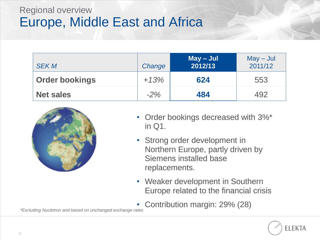### Regional overview Europe, Middle East and Africa

| <b>SEK M</b>          | Change | $May - Jul$<br>2012/13 | $May - Jul$<br>2011/12 |
|-----------------------|--------|------------------------|------------------------|
| <b>Order bookings</b> | $+13%$ | 624                    | 553                    |
| <b>Net sales</b>      | $-2\%$ | 484                    | 492                    |



- Order bookings decreased with 3%\* in Q1.
- Strong order development in Northern Europe, partly driven by Siemens installed base replacements.
- Weaker development in Southern Europe related to the financial crisis
- Contribution margin: 29% (28)



*\*Excluding Nucletron and based on unchanged exchange rates*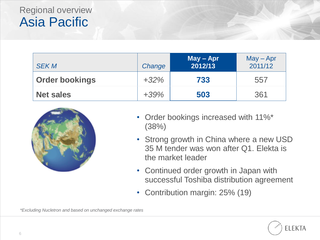## Regional overview Asia Pacific

| <b>SEK M</b>          | Change  | $May - Apr$<br>2012/13 | $May - Apr$<br>2011/12 |
|-----------------------|---------|------------------------|------------------------|
| <b>Order bookings</b> | $+32\%$ | 733                    | 557                    |
| <b>Net sales</b>      | $+39%$  | 503                    | 361                    |



- Order bookings increased with 11%\* (38%)
- Strong growth in China where a new USD 35 M tender was won after Q1. Elekta is the market leader
- Continued order growth in Japan with successful Toshiba distribution agreement
- Contribution margin: 25% (19)

**ELEKTA** 

*\*Excluding Nucletron and based on unchanged exchange rates*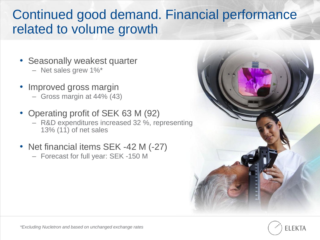## Continued good demand. Financial performance related to volume growth

- Seasonally weakest quarter – Net sales grew 1%\*
- Improved gross margin
	- Gross margin at 44% (43)
- Operating profit of SEK 63 M (92) – R&D expenditures increased 32 %, representing 13% (11) of net sales
- Net financial items SEK -42 M (-27)
	- Forecast for full year: SEK -150 M



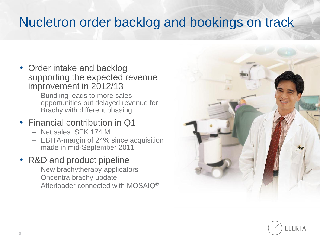## Nucletron order backlog and bookings on track

- Order intake and backlog supporting the expected revenue improvement in 2012/13
	- Bundling leads to more sales opportunities but delayed revenue for Brachy with different phasing
- Financial contribution in Q1
	- Net sales: SEK 174 M
	- EBITA-margin of 24% since acquisition made in mid-September 2011
- R&D and product pipeline
	- New brachytherapy applicators
	- Oncentra brachy update
	- $-$  Afterloader connected with MOSAIQ<sup>®</sup>



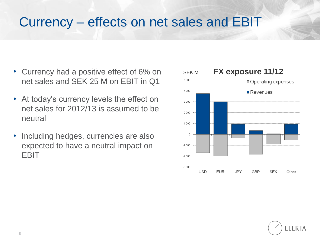## Currency – effects on net sales and EBIT

- Currency had a positive effect of 6% on net sales and SEK 25 M on EBIT in Q1
- At today's currency levels the effect on net sales for 2012/13 is assumed to be neutral
- Including hedges, currencies are also expected to have a neutral impact on EBIT



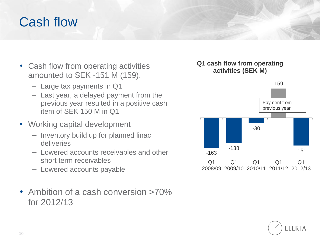## Cash flow

- Cash flow from operating activities amounted to SEK -151 M (159).
	- Large tax payments in Q1
	- Last year, a delayed payment from the previous year resulted in a positive cash item of SEK 150 M in Q1
- Working capital development
	- Inventory build up for planned linac deliveries
	- Lowered accounts receivables and other short term receivables
	- Lowered accounts payable
- Ambition of a cash conversion >70% for 2012/13

#### **Q1 cash flow from operating activities (SEK M)**



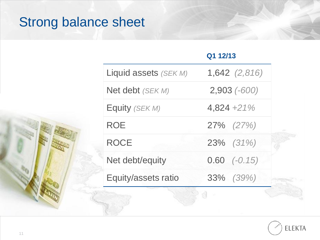# Strong balance sheet

#### **Q1 12/13**

| Liquid assets (SEK M) | $1,642$ $(2,816)$ |  |
|-----------------------|-------------------|--|
| Net debt (SEK M)      | $2,903$ $(-600)$  |  |
| Equity (SEK M)        | $4,824 +21%$      |  |
| <b>ROE</b>            | $27\%$ $(27\%)$   |  |
| <b>ROCE</b>           | 23% (31%)         |  |
| Net debt/equity       | $0.60$ $(-0.15)$  |  |
| Equity/assets ratio   | 33% (39%)         |  |
|                       |                   |  |

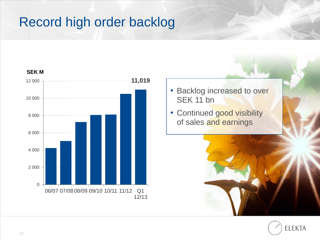# Record high order backlog



- Backlog increased to over SEK 11 bn
- Continued good visibility of sales and earnings



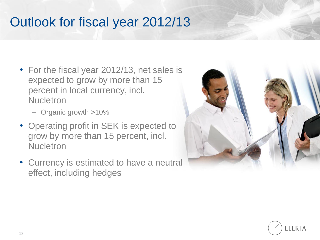## Outlook for fiscal year 2012/13

- For the fiscal year 2012/13, net sales is expected to grow by more than 15 percent in local currency, incl. **Nucletron** 
	- Organic growth >10%
- Operating profit in SEK is expected to grow by more than 15 percent, incl. **Nucletron**
- Currency is estimated to have a neutral effect, including hedges